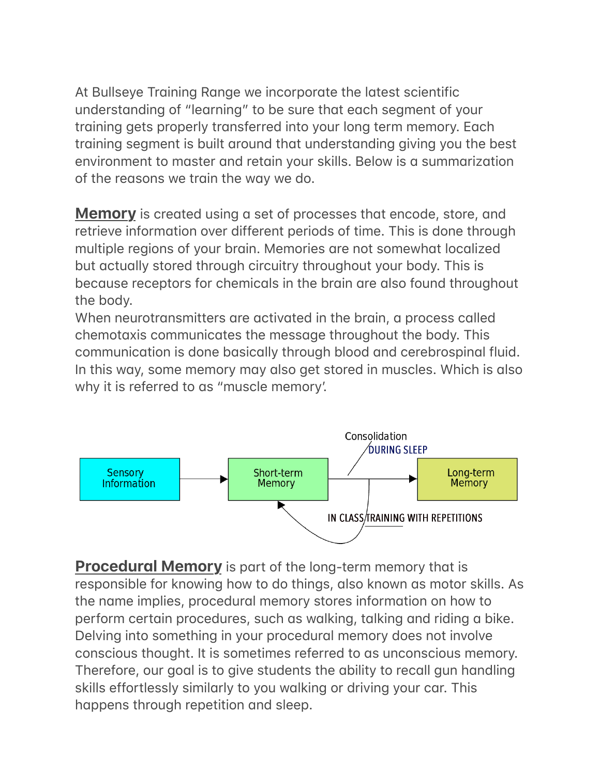At Bullseye Training Range we incorporate the latest scientific understanding of "learning" to be sure that each segment of your training gets properly transferred into your long term memory. Each training segment is built around that understanding giving you the best environment to master and retain your skills. Below is a summarization of the reasons we train the way we do.

**Memory** is created using a set of processes that encode, store, and retrieve information over different periods of time. This is done through multiple regions of your brain. Memories are not somewhat localized but actually stored through circuitry throughout your body. This is because receptors for chemicals in the brain are also found throughout the body.

When neurotransmitters are activated in the brain, a process called chemotaxis communicates the message throughout the body. This communication is done basically through blood and cerebrospinal fluid. In this way, some memory may also get stored in muscles. Which is also why it is referred to as "muscle memory'.



**Procedural Memory** is part of the long-term memory that is responsible for knowing how to do things, also known as motor skills. As the name implies, procedural memory stores information on how to perform certain procedures, such as walking, talking and riding a bike. Delving into something in your procedural memory does not involve conscious thought. It is sometimes referred to as unconscious memory. Therefore, our goal is to give students the ability to recall gun handling skills effortlessly similarly to you walking or driving your car. This happens through repetition and sleep.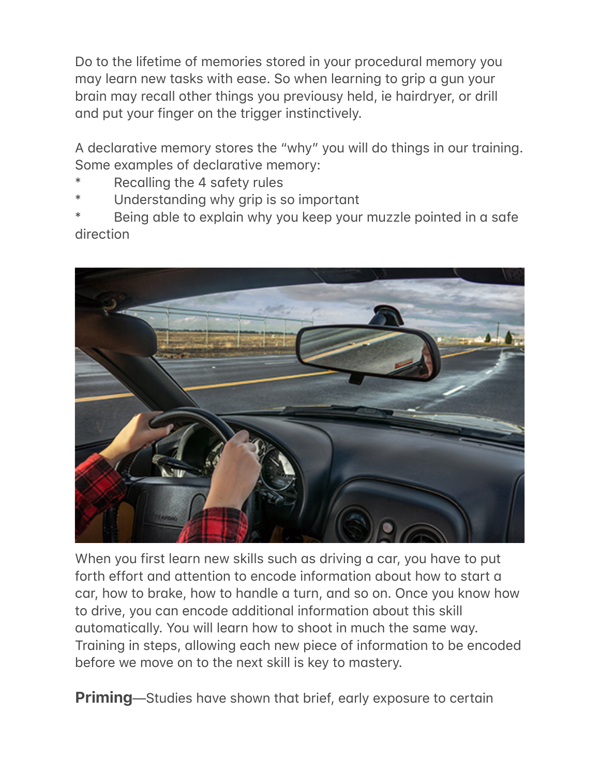Do to the lifetime of memories stored in your procedural memory you may learn new tasks with ease. So when learning to grip a gun your brain may recall other things you previousy held, ie hairdryer, or drill and put your finger on the trigger instinctively.

A declarative memory stores the "why" you will do things in our training. Some examples of declarative memory:

- Recalling the 4 safety rules
- Understanding why grip is so important
- Being able to explain why you keep your muzzle pointed in a safe direction



When you first learn new skills such as driving a car, you have to put forth effort and attention to encode information about how to start a car, how to brake, how to handle a turn, and so on. Once you know how to drive, you can encode additional information about this skill automatically. You will learn how to shoot in much the same way. Training in steps, allowing each new piece of information to be encoded before we move on to the next skill is key to mastery.

**Priming**—Studies have shown that brief, early exposure to certain